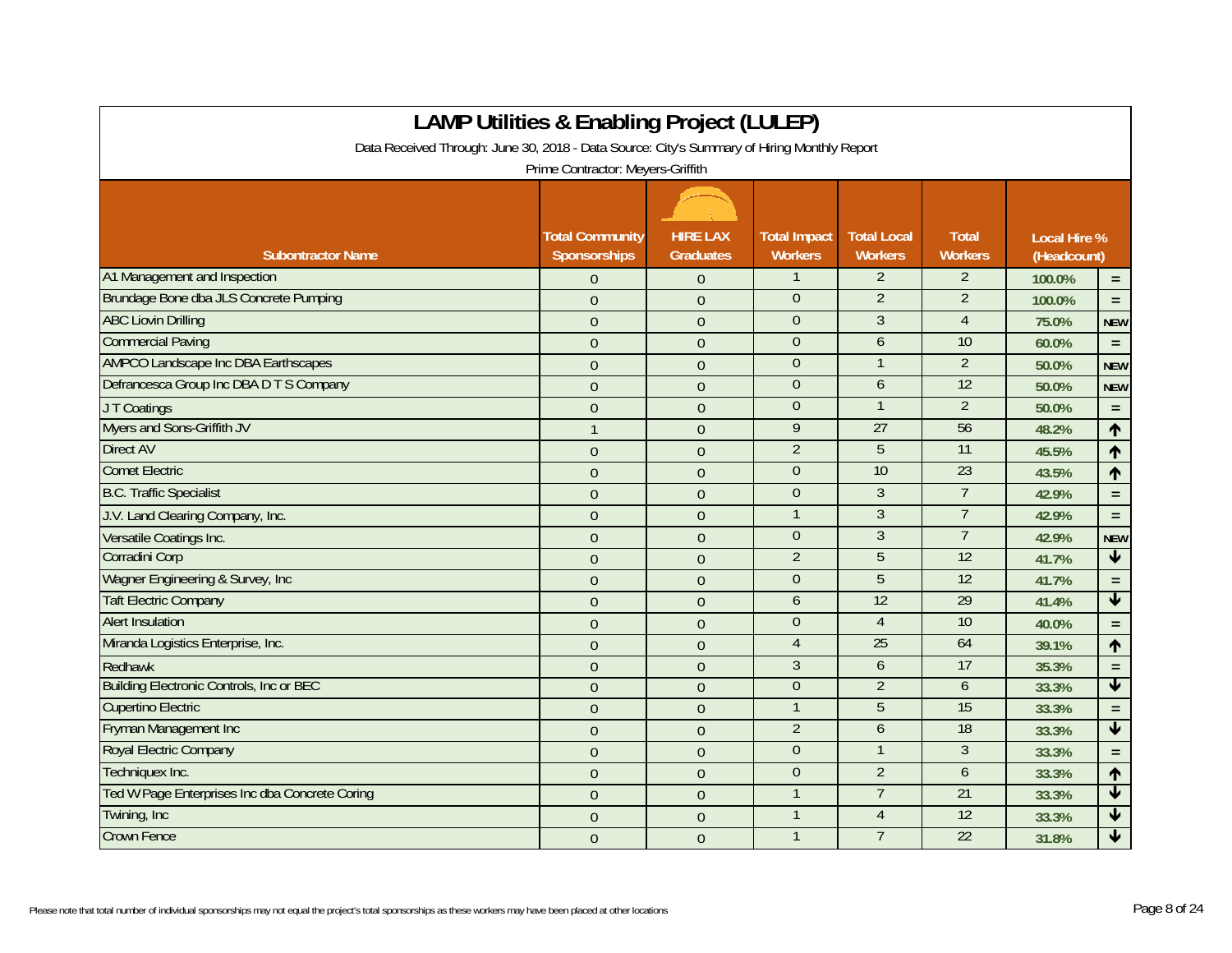|                                                                                             | <b>LAMP Utilities &amp; Enabling Project (LULEP)</b> |                                     |                                       |                                      |                                |                                    |                            |
|---------------------------------------------------------------------------------------------|------------------------------------------------------|-------------------------------------|---------------------------------------|--------------------------------------|--------------------------------|------------------------------------|----------------------------|
| Data Received Through: June 30, 2018 - Data Source: City's Summary of Hiring Monthly Report |                                                      |                                     |                                       |                                      |                                |                                    |                            |
|                                                                                             | Prime Contractor: Meyers-Griffith                    |                                     |                                       |                                      |                                |                                    |                            |
|                                                                                             |                                                      |                                     |                                       |                                      |                                |                                    |                            |
| <b>Subontractor Name</b>                                                                    | <b>Total Community</b><br>Sponsorships               | <b>HIRE LAX</b><br><b>Graduates</b> | <b>Total Impact</b><br><b>Workers</b> | <b>Total Local</b><br><b>Workers</b> | <b>Total</b><br><b>Workers</b> | <b>Local Hire %</b><br>(Headcount) |                            |
| A1 Management and Inspection                                                                | $\Omega$                                             | $\theta$                            | $\mathbf{1}$                          | $\overline{2}$                       | $\overline{2}$                 | 100.0%                             | $\equiv$                   |
| Brundage Bone dba JLS Concrete Pumping                                                      | $\theta$                                             | $\theta$                            | $\overline{0}$                        | $\overline{2}$                       | $\overline{2}$                 | 100.0%                             | $\equiv$                   |
| <b>ABC Liovin Drilling</b>                                                                  | $\overline{0}$                                       | $\overline{0}$                      | $\mathbf{0}$                          | 3                                    | $\overline{4}$                 | 75.0%                              | <b>NEW</b>                 |
| <b>Commercial Paving</b>                                                                    | $\Omega$                                             | $\Omega$                            | $\overline{0}$                        | 6                                    | 10                             | 60.0%                              | $=$ $\,$                   |
| <b>AMPCO Landscape Inc DBA Earthscapes</b>                                                  | $\overline{0}$                                       | $\Omega$                            | $\overline{0}$                        | $\mathbf{1}$                         | $\overline{2}$                 | 50.0%                              | <b>NEW</b>                 |
| Defrancesca Group Inc DBA D T S Company                                                     | $\overline{0}$                                       | $\overline{0}$                      | $\mathbf{0}$                          | 6                                    | 12                             | 50.0%                              | <b>NEW</b>                 |
| JT Coatings                                                                                 | $\overline{0}$                                       | $\mathbf{0}$                        | $\overline{0}$                        | $\mathbf{1}$                         | $\overline{2}$                 | 50.0%                              | $\equiv$                   |
| Myers and Sons-Griffith JV                                                                  | $\mathbf{1}$                                         | $\theta$                            | $\overline{9}$                        | 27                                   | 56                             | 48.2%                              | $\uparrow$                 |
| <b>Direct AV</b>                                                                            | $\overline{0}$                                       | $\mathbf{0}$                        | $\overline{2}$                        | 5                                    | 11                             | 45.5%                              | $\uparrow$                 |
| <b>Comet Electric</b>                                                                       | $\overline{0}$                                       | $\overline{0}$                      | $\theta$                              | 10                                   | 23                             | 43.5%                              | $\uparrow$                 |
| <b>B.C. Traffic Specialist</b>                                                              | $\overline{0}$                                       | $\overline{0}$                      | $\overline{0}$                        | $\overline{3}$                       | $\overline{7}$                 | 42.9%                              | $\equiv$                   |
| J.V. Land Clearing Company, Inc.                                                            | $\overline{0}$                                       | $\Omega$                            | $\mathbf{1}$                          | $\overline{3}$                       | $\overline{7}$                 | 42.9%                              | $\equiv$                   |
| Versatile Coatings Inc.                                                                     | $\overline{0}$                                       | $\theta$                            | $\theta$                              | $\overline{3}$                       | $\overline{7}$                 | 42.9%                              | <b>NEW</b>                 |
| Corradini Corp                                                                              | $\overline{0}$                                       | $\mathbf{0}$                        | $\overline{2}$                        | 5                                    | 12                             | 41.7%                              | $\blacklozenge$            |
| Wagner Engineering & Survey, Inc.                                                           | $\overline{0}$                                       | $\overline{0}$                      | $\theta$                              | 5                                    | $\overline{12}$                | 41.7%                              | $\equiv$                   |
| <b>Taft Electric Company</b>                                                                | $\overline{0}$                                       | $\overline{0}$                      | 6                                     | 12                                   | 29                             | 41.4%                              | $\blacklozenge$            |
| <b>Alert Insulation</b>                                                                     | $\overline{0}$                                       | $\overline{0}$                      | $\theta$                              | $\overline{4}$                       | 10                             | 40.0%                              | $\equiv$                   |
| Miranda Logistics Enterprise, Inc.                                                          | $\overline{0}$                                       | $\overline{0}$                      | $\overline{4}$                        | $\overline{25}$                      | 64                             | 39.1%                              | ↑                          |
| Redhawk                                                                                     | $\overline{0}$                                       | $\overline{0}$                      | $\overline{3}$                        | 6                                    | 17                             | 35.3%                              | $\equiv$                   |
| <b>Building Electronic Controls, Inc or BEC</b>                                             | $\overline{0}$                                       | $\theta$                            | $\overline{0}$                        | $\overline{2}$                       | 6                              | 33.3%                              | $\blacktriangledown$       |
| <b>Cupertino Electric</b>                                                                   | $\overline{0}$                                       | $\overline{0}$                      | $\mathbf{1}$                          | 5                                    | 15                             | 33.3%                              | $\equiv$                   |
| Fryman Management Inc                                                                       | $\Omega$                                             | $\theta$                            | $\overline{2}$                        | 6                                    | $\overline{18}$                | 33.3%                              | $\blacktriangledown$       |
| <b>Royal Electric Company</b>                                                               | $\Omega$                                             | $\overline{0}$                      | $\theta$                              | $\mathbf{1}$                         | 3                              | 33.3%                              | $\equiv$                   |
| Techniquex Inc.                                                                             | $\overline{0}$                                       | $\theta$                            | $\theta$                              | $\overline{2}$                       | 6                              | 33.3%                              | $\uparrow$                 |
| Ted W Page Enterprises Inc dba Concrete Coring                                              | $\overline{0}$                                       | $\overline{0}$                      | $\mathbf{1}$                          | $\overline{7}$                       | 21                             | 33.3%                              | $\blacklozenge$            |
| Twining, Inc                                                                                | $\overline{0}$                                       | $\mathbf{0}$                        | 1                                     | $\overline{4}$                       | 12                             | 33.3%                              | $\blacktriangledown$       |
| <b>Crown Fence</b>                                                                          | $\overline{0}$                                       | $\theta$                            | $\mathbf{1}$                          | $\overline{7}$                       | 22                             | 31.8%                              | $\overline{\blacklozenge}$ |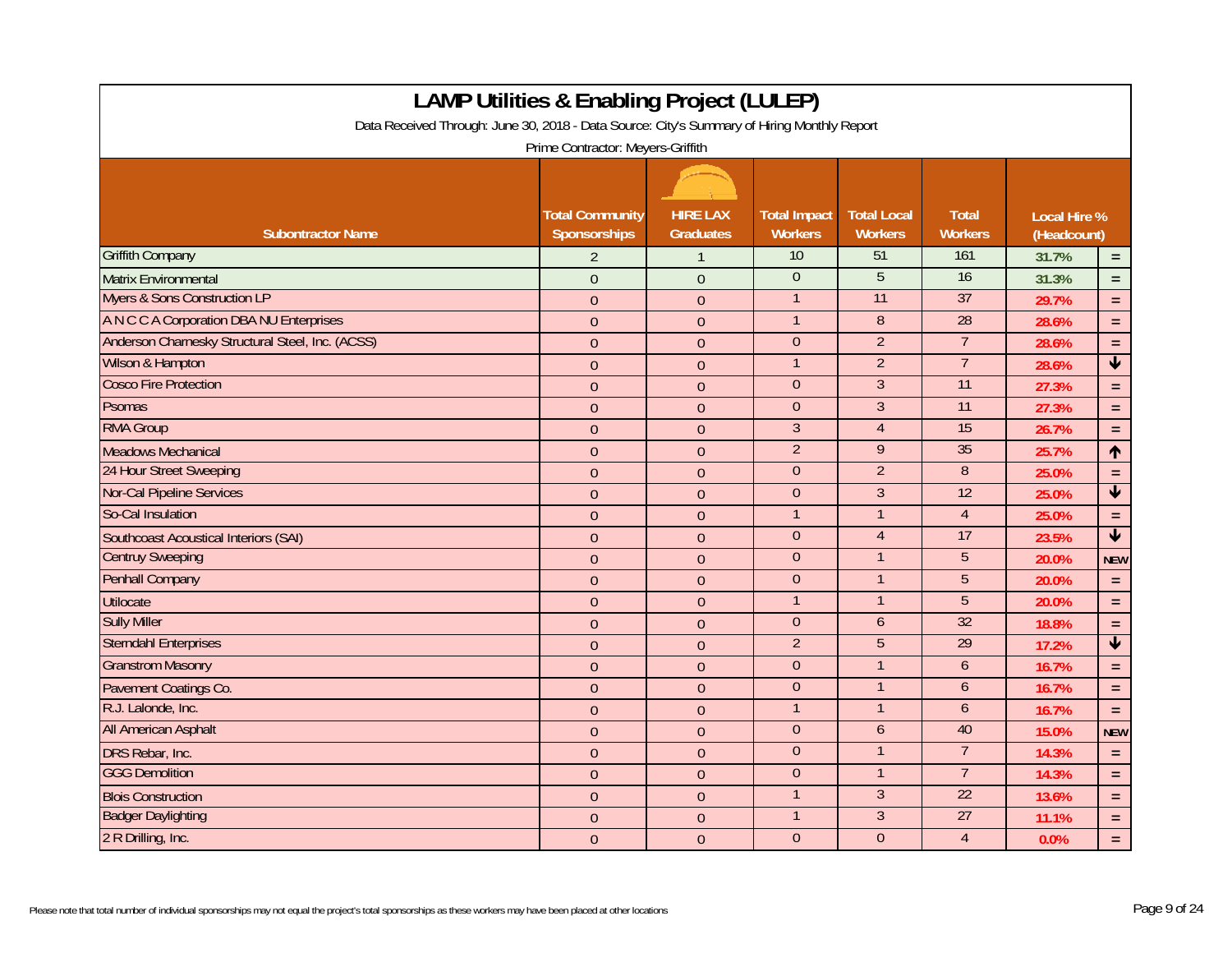| <b>LAMP Utilities &amp; Enabling Project (LULEP)</b><br>Data Received Through: June 30, 2018 - Data Source: City's Summary of Hiring Monthly Report<br>Prime Contractor: Meyers-Griffith |                                        |                                     |                                       |                                      |                                |                                    |                         |  |
|------------------------------------------------------------------------------------------------------------------------------------------------------------------------------------------|----------------------------------------|-------------------------------------|---------------------------------------|--------------------------------------|--------------------------------|------------------------------------|-------------------------|--|
| <b>Subontractor Name</b>                                                                                                                                                                 | <b>Total Community</b><br>Sponsorships | <b>HIRE LAX</b><br><b>Graduates</b> | <b>Total Impact</b><br><b>Workers</b> | <b>Total Local</b><br><b>Workers</b> | <b>Total</b><br><b>Workers</b> | <b>Local Hire %</b><br>(Headcount) |                         |  |
| <b>Griffith Company</b>                                                                                                                                                                  | $\overline{2}$                         | $\mathbf{1}$                        | 10                                    | 51                                   | 161                            | 31.7%                              | $=$ $\,$                |  |
| <b>Matrix Environmental</b>                                                                                                                                                              | $\overline{0}$                         | $\overline{0}$                      | $\overline{0}$                        | $\overline{5}$                       | 16                             | 31.3%                              | $\equiv$                |  |
| <b>Myers &amp; Sons Construction LP</b>                                                                                                                                                  | $\overline{0}$                         | $\theta$                            | $\overline{1}$                        | 11                                   | 37                             | 29.7%                              | $\equiv$                |  |
| A N C C A Corporation DBA NU Enterprises                                                                                                                                                 | $\overline{0}$                         | $\overline{0}$                      | $\mathbf{1}$                          | $\overline{8}$                       | 28                             | 28.6%                              | $\equiv$                |  |
| Anderson Charnesky Structural Steel, Inc. (ACSS)                                                                                                                                         | $\Omega$                               | $\Omega$                            | $\overline{0}$                        | $\overline{2}$                       | $\overline{7}$                 | 28.6%                              | $\equiv$                |  |
| Wilson & Hampton                                                                                                                                                                         | $\overline{0}$                         | $\overline{0}$                      | $\mathbf{1}$                          | $\overline{2}$                       | $\overline{7}$                 | 28.6%                              | $\overline{\textbf{v}}$ |  |
| <b>Cosco Fire Protection</b>                                                                                                                                                             | $\overline{0}$                         | $\theta$                            | $\theta$                              | $\overline{3}$                       | $\overline{11}$                | 27.3%                              | $\equiv$                |  |
| <b>Psomas</b>                                                                                                                                                                            | $\overline{0}$                         | $\Omega$                            | $\overline{0}$                        | $\overline{3}$                       | 11                             | 27.3%                              | $\equiv$                |  |
| <b>RMA Group</b>                                                                                                                                                                         | $\theta$                               | $\theta$                            | $\overline{3}$                        | $\overline{4}$                       | 15                             | 26.7%                              | $\equiv$                |  |
| <b>Meadows Mechanical</b>                                                                                                                                                                | $\overline{0}$                         | $\overline{0}$                      | $\overline{2}$                        | 9                                    | 35                             | 25.7%                              | $\uparrow$              |  |
| 24 Hour Street Sweeping                                                                                                                                                                  | $\overline{0}$                         | $\overline{0}$                      | $\theta$                              | $\overline{2}$                       | $\, 8$                         | 25.0%                              | $\equiv$                |  |
| <b>Nor-Cal Pipeline Services</b>                                                                                                                                                         | $\overline{0}$                         | $\overline{0}$                      | $\overline{0}$                        | $\overline{3}$                       | 12                             | 25.0%                              | $\overline{\textbf{v}}$ |  |
| So-Cal Insulation                                                                                                                                                                        | $\overline{0}$                         | $\mathbf{0}$                        | $\mathbf{1}$                          | $\mathbf{1}$                         | $\overline{4}$                 | 25.0%                              | $\equiv$                |  |
| Southcoast Acoustical Interiors (SAI)                                                                                                                                                    | $\overline{0}$                         | $\overline{0}$                      | $\mathbf{0}$                          | $\overline{4}$                       | 17                             | 23.5%                              | $\blacktriangledown$    |  |
| <b>Centruy Sweeping</b>                                                                                                                                                                  | $\overline{0}$                         | $\mathbf{0}$                        | $\theta$                              | $\mathbf{1}$                         | 5                              | 20.0%                              | <b>NEW</b>              |  |
| <b>Penhall Company</b>                                                                                                                                                                   | $\overline{0}$                         | $\mathbf{0}$                        | $\overline{0}$                        | $\overline{1}$                       | $\overline{5}$                 | 20.0%                              | $\equiv$                |  |
| <b>Utilocate</b>                                                                                                                                                                         | $\overline{0}$                         | $\theta$                            | $\mathbf{1}$                          | $\mathbf{1}$                         | $\overline{5}$                 | 20.0%                              | $\equiv$                |  |
| <b>Sully Miller</b>                                                                                                                                                                      | $\overline{0}$                         | $\overline{0}$                      | $\boldsymbol{0}$                      | 6                                    | 32                             | 18.8%                              | $\equiv$                |  |
| <b>Sterndahl Enterprises</b>                                                                                                                                                             | $\overline{0}$                         | $\mathbf{0}$                        | $\overline{2}$                        | $\overline{5}$                       | 29                             | 17.2%                              | $\overline{\textbf{t}}$ |  |
| <b>Granstrom Masonry</b>                                                                                                                                                                 | $\overline{0}$                         | $\overline{0}$                      | $\overline{0}$                        | $\mathbf{1}$                         | $\mathfrak b$                  | 16.7%                              | $\equiv$                |  |
| Pavement Coatings Co.                                                                                                                                                                    | $\overline{0}$                         | $\overline{0}$                      | $\Omega$                              | $\mathbf{1}$                         | 6                              | 16.7%                              | $\equiv$                |  |
| R.J. Lalonde, Inc.                                                                                                                                                                       | $\overline{0}$                         | $\overline{0}$                      | $\mathbf{1}$                          | $\mathbf{1}$                         | $\mathfrak b$                  | 16.7%                              | $\equiv$                |  |
| All American Asphalt                                                                                                                                                                     | $\overline{0}$                         | $\theta$                            | $\mathbf{0}$                          | 6                                    | 40                             | 15.0%                              | <b>NEW</b>              |  |
| DRS Rebar, Inc.                                                                                                                                                                          | $\overline{0}$                         | $\mathbf{0}$                        | $\overline{0}$                        | $\mathbf{1}$                         | $\overline{7}$                 | 14.3%                              | $\equiv$                |  |
| <b>GGG Demolition</b>                                                                                                                                                                    | $\overline{0}$                         | $\theta$                            | $\mathbf{0}$                          | $\mathbf{1}$                         | $\overline{7}$                 | 14.3%                              | $\equiv$                |  |
| <b>Blois Construction</b>                                                                                                                                                                | $\overline{0}$                         | $\mathbf{0}$                        | $\mathbf{1}$                          | 3                                    | 22                             | 13.6%                              | $\equiv$                |  |
| <b>Badger Daylighting</b>                                                                                                                                                                | $\overline{0}$                         | $\theta$                            | $\overline{1}$                        | 3                                    | 27                             | 11.1%                              | $\equiv$                |  |
| 2 R Drilling, Inc.                                                                                                                                                                       | $\overline{0}$                         | $\mathbf{0}$                        | $\overline{0}$                        | $\overline{0}$                       | $\overline{4}$                 | 0.0%                               | $\equiv$                |  |

Г

┑